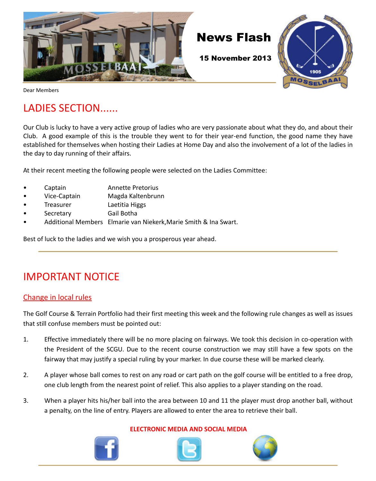

Dear Members

# LADIES SECTION......

Our Club is lucky to have a very active group of ladies who are very passionate about what they do, and about their Club. A good example of this is the trouble they went to for their year-end function, the good name they have established for themselves when hosting their Ladies at Home Day and also the involvement of a lot of the ladies in the day to day running of their affairs.

At their recent meeting the following people were selected on the Ladies Committee:

- Captain **Annette Pretorius**
- Vice-Captain Magda Kaltenbrunn
- Treasurer Laetitia Higgs
- Secretary Gail Botha
- Additional Members Elmarie van Niekerk,Marie Smith & Ina Swart.

Best of luck to the ladies and we wish you a prosperous year ahead.

## IMPORTANT NOTICE

#### Change in local rules

The Golf Course & Terrain Portfolio had their first meeting this week and the following rule changes as well as issues that still confuse members must be pointed out:

- 1. Effective immediately there will be no more placing on fairways. We took this decision in co-operation with the President of the SCGU. Due to the recent course construction we may still have a few spots on the fairway that may justify a special ruling by your marker. In due course these will be marked clearly.
- 2. A player whose ball comes to rest on any road or cart path on the golf course will be entitled to a free drop, one club length from the nearest point of relief. This also applies to a player standing on the road.
- 3. When a player hits his/her ball into the area between 10 and 11 the player must drop another ball, without a penalty, on the line of entry. Players are allowed to enter the area to retrieve their ball.



#### **ELECTRONIC MEDIA AND SOCIAL MEDIA**



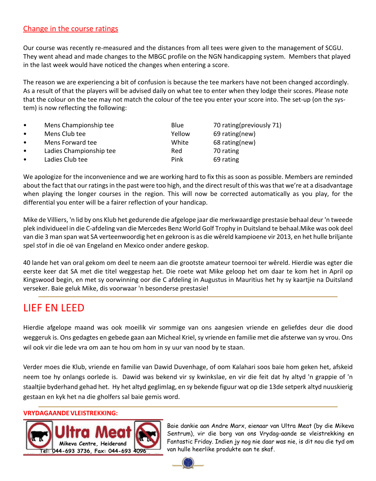#### Change in the course ratings

Our course was recently re-measured and the distances from all tees were given to the management of SCGU. They went ahead and made changes to the MBGC profile on the NGN handicapping system. Members that played in the last week would have noticed the changes when entering a score.

The reason we are experiencing a bit of confusion is because the tee markers have not been changed accordingly. As a result of that the players will be advised daily on what tee to enter when they lodge their scores. Please note that the colour on the tee may not match the colour of the tee you enter your score into. The set-up (on the system) is now reflecting the following:

| $\bullet$ | Mens Championship tee   | <b>Blue</b> | 70 rating (previously 71) |
|-----------|-------------------------|-------------|---------------------------|
| $\bullet$ | Mens Club tee           | Yellow      | 69 rating(new)            |
| $\bullet$ | Mens Forward tee        | White       | 68 rating(new)            |
| $\bullet$ | Ladies Championship tee | Red         | 70 rating                 |
| $\bullet$ | Ladies Club tee         | Pink        | 69 rating                 |

We apologize for the inconvenience and we are working hard to fix this as soon as possible. Members are reminded about the fact that our ratings in the past were too high, and the direct result of this was that we're at a disadvantage when playing the longer courses in the region. This will now be corrected automatically as you play, for the differential you enter will be a fairer reflection of your handicap.

Mike de Villiers, 'n lid by ons Klub het gedurende die afgelope jaar die merkwaardige prestasie behaal deur 'n tweede plek individueel in die C-afdeling van die Mercedes Benz World Golf Trophy in Duitsland te behaal.Mike was ook deel van die 3 man span wat SA verteenwoordig het en gekroon is as die wêreld kampioene vir 2013, en het hulle briljante spel stof in die oë van Engeland en Mexico onder andere geskop.

40 lande het van oral gekom om deel te neem aan die grootste amateur toernooi ter wêreld. Hierdie was egter die eerste keer dat SA met die titel weggestap het. Die roete wat Mike geloop het om daar te kom het in April op Kingswood begin, en met sy oorwinning oor die C afdeling in Augustus in Mauritius het hy sy kaartjie na Duitsland verseker. Baie geluk Mike, dis voorwaar 'n besonderse prestasie!

## LIEF EN LEED

Hierdie afgelope maand was ook moeilik vir sommige van ons aangesien vriende en geliefdes deur die dood weggeruk is. Ons gedagtes en gebede gaan aan Micheal Kriel, sy vriende en familie met die afsterwe van sy vrou. Ons wil ook vir die lede vra om aan te hou om hom in sy uur van nood by te staan.

Verder moes die Klub, vriende en familie van Dawid Duvenhage, of oom Kalahari soos baie hom geken het, afskeid neem toe hy onlangs oorlede is. Dawid was bekend vir sy kwinkslae, en vir die feit dat hy altyd 'n grappie of 'n staaltjie byderhand gehad het. Hy het altyd geglimlag, en sy bekende figuur wat op die 13de setperk altyd nuuskierig gestaan en kyk het na die gholfers sal baie gemis word.

#### **VRYDAGAANDE VLEISTREKKING:**



Baie dankie aan Andre Marx, eienaar van Ultra Meat (by die Mikeva Sentrum), vir die borg van ons Vrydag-aande se vleistrekking en Fantastic Friday. Indien jy nog nie daar was nie, is dit nou die tyd om van hulle heerlike produkte aan te skaf.

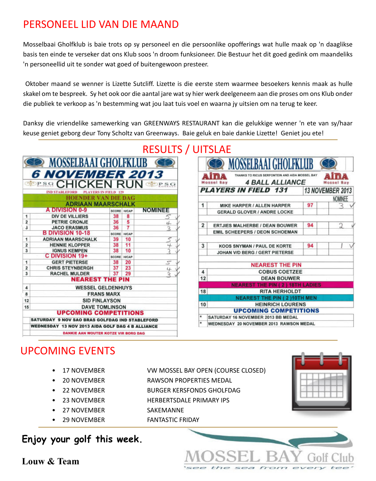## PERSONEEL LID VAN DIE MAAND

Mosselbaai Gholfklub is baie trots op sy personeel en die persoonlike opofferings wat hulle maak op 'n daaglikse basis ten einde te verseker dat ons Klub soos 'n droom funksioneer. Die Bestuur het dit goed gedink om maandeliks 'n personeellid uit te sonder wat goed of buitengewoon presteer.

 Oktober maand se wenner is Lizette Sutcliff. Lizette is die eerste stem waarmee besoekers kennis maak as hulle skakel om te bespreek. Sy het ook oor die aantal jare wat sy hier werk deelgeneem aan die proses om ons Klub onder die publiek te verkoop as 'n bestemming wat jou laat tuis voel en waarna jy uitsien om na terug te keer.

Danksy die vriendelike samewerking van GREENWAYS RESTAURANT kan die gelukkige wenner 'n ete van sy/haar keuse geniet geborg deur Tony Scholtz van Greenways. Baie geluk en baie dankie Lizette! Geniet jou ete!



|                | <b>MOSSELBAAI GHOLFKLUB</b>                                              |    |                  |  |
|----------------|--------------------------------------------------------------------------|----|------------------|--|
|                | THANKS TO RICUS SERFONTEIN AND AIDA MOSSEL BAY<br><b>4 BALL ALLIANCE</b> |    |                  |  |
|                | <b>PLAYERS IN FIELD 131</b>                                              |    | 13 NOVEMBER 2013 |  |
|                |                                                                          |    | <b>NOMINEE</b>   |  |
| 1              | MIKE HARPER / ALLEN HARPER                                               | 97 |                  |  |
|                | <b>GERALD GLOVER / ANDRE LOCKE</b>                                       |    |                  |  |
| $\overline{2}$ | <b>ERTJIES MALHERBE / DEAN BOUWER</b>                                    | 94 | 2                |  |
|                | EMIL SCHEEPERS / DEON SCHOEMAN                                           |    |                  |  |
| 3              | <b>KOOS SNYMAN / PAUL DE KORTE</b>                                       | 94 |                  |  |
|                | JOHAN V/D BERG / GERT PIETERSE                                           |    |                  |  |
|                | <b>NEAREST THE PIN</b>                                                   |    |                  |  |
| 4              | <b>COBUS COETZEE</b>                                                     |    |                  |  |
| 12             | <b>DEAN BOUWER</b>                                                       |    |                  |  |
|                | <b>NEAREST THE PIN (2) 18TH LADIES</b>                                   |    |                  |  |
| 18             | <b>RITA HERHOLDT</b>                                                     |    |                  |  |
|                | <b>NEAREST THE PIN (2)10TH MEN</b>                                       |    |                  |  |
| 10             | <b>HEINRICH LOURENS</b>                                                  |    |                  |  |
| ÷              | <b>UPCOMING COMPETITIONS</b><br>SATURDAY 16 NOVEMBER 2013 BB MEDAL       |    |                  |  |
| ۰              | WEDNESDAY 20 NOVEMBER 2013 RAWSON MEDAL                                  |    |                  |  |

# UPCOMING EVENTS

- 
- 
- 
- 
- 
- 

#### • 17 NOVEMBER VW MOSSEL BAY OPEN (COURSE CLOSED)

- 20 NOVEMBER RAWSON PROPERTIES MEDAL
- 22 NOVEMBER BURGER KERSFONDS GHOLFDAG
- 23 NOVEMBER HERBERTSDALE PRIMARY IPS
- 27 NOVEMBER SAKEMANNE
- 29 NOVEMBER FANTASTIC FRIDAY

## **Enjoy your golf this week.**



**Louw & Team**